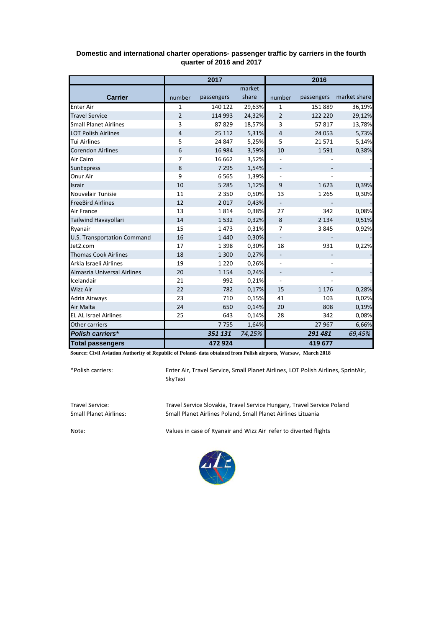|                              | 2017           |            |        | 2016                     |            |              |
|------------------------------|----------------|------------|--------|--------------------------|------------|--------------|
|                              |                |            | market |                          |            |              |
| <b>Carrier</b>               | number         | passengers | share  | number                   | passengers | market share |
| <b>Enter Air</b>             | 1              | 140 122    | 29,63% | 1                        | 151889     | 36,19%       |
| <b>Travel Service</b>        | $\overline{2}$ | 114 993    | 24,32% | $\overline{2}$           | 122 220    | 29,12%       |
| <b>Small Planet Airlines</b> | 3              | 87829      | 18,57% | 3                        | 57817      | 13,78%       |
| <b>LOT Polish Airlines</b>   | 4              | 25 112     | 5,31%  | $\overline{4}$           | 24 053     | 5,73%        |
| <b>Tui Airlines</b>          | 5              | 24 847     | 5,25%  | 5                        | 21571      | 5,14%        |
| <b>Corendon Airlines</b>     | 6              | 16 9 84    | 3,59%  | 10                       | 1591       | 0,38%        |
| Air Cairo                    | $\overline{7}$ | 16 662     | 3,52%  |                          |            |              |
| <b>SunExpress</b>            | 8              | 7 2 9 5    | 1,54%  | $\overline{\phantom{0}}$ |            |              |
| Onur Air                     | 9              | 6565       | 1,39%  |                          |            |              |
| Israir                       | 10             | 5 2 8 5    | 1,12%  | 9                        | 1623       | 0,39%        |
| Nouvelair Tunisie            | 11             | 2 3 5 0    | 0,50%  | 13                       | 1 2 6 5    | 0,30%        |
| <b>FreeBird Airlines</b>     | 12             | 2017       | 0,43%  | $\overline{\phantom{0}}$ |            |              |
| <b>Air France</b>            | 13             | 1814       | 0,38%  | 27                       | 342        | 0,08%        |
| Tailwind Havayollari         | 14             | 1532       | 0,32%  | $\,8\,$                  | 2 1 3 4    | 0,51%        |
| Ryanair                      | 15             | 1473       | 0,31%  | 7                        | 3845       | 0,92%        |
| U.S. Transportation Command  | 16             | 1440       | 0,30%  | $\overline{\phantom{a}}$ |            |              |
| Jet2.com                     | 17             | 1398       | 0,30%  | 18                       | 931        | 0,22%        |
| <b>Thomas Cook Airlines</b>  | 18             | 1 3 0 0    | 0,27%  | $\overline{\phantom{0}}$ |            |              |
| Arkia Israeli Airlines       | 19             | 1 2 2 0    | 0,26%  |                          |            |              |
| Almasria Universal Airlines  | 20             | 1 1 5 4    | 0,24%  | $\overline{\phantom{0}}$ |            |              |
| Icelandair                   | 21             | 992        | 0,21%  | $\overline{\phantom{m}}$ |            |              |
| <b>Wizz Air</b>              | 22             | 782        | 0,17%  | 15                       | 1 1 7 6    | 0,28%        |
| <b>Adria Airways</b>         | 23             | 710        | 0,15%  | 41                       | 103        | 0,02%        |
| Air Malta                    | 24             | 650        | 0,14%  | 20                       | 808        | 0,19%        |
| <b>EL AL Israel Airlines</b> | 25             | 643        | 0,14%  | 28                       | 342        | 0,08%        |
| Other carriers               |                | 7755       | 1,64%  |                          | 27 967     | 6,66%        |
| Polish carriers*             |                | 351 131    | 74,25% |                          | 291 481    | 69,45%       |
| <b>Total passengers</b>      |                | 472 924    |        |                          | 419 677    |              |

## **Domestic and international charter operations- passenger traffic by carriers in the fourth quarter of 2016 and 2017**

**Source: Civil Aviation Authority of Republic of Poland- data obtained from Polish airports, Warsaw, March 2018**

\*Polish carriers:

Enter Air, Travel Service, Small Planet Airlines, LOT Polish Airlines, SprintAir, SkyTaxi

Travel Service: Travel Service Slovakia, Travel Service Hungary, Travel Service Poland Small Planet Airlines Poland, Small Planet Airlines Lituania

Note: Values in case of Ryanair and Wizz Air refer to diverted flights